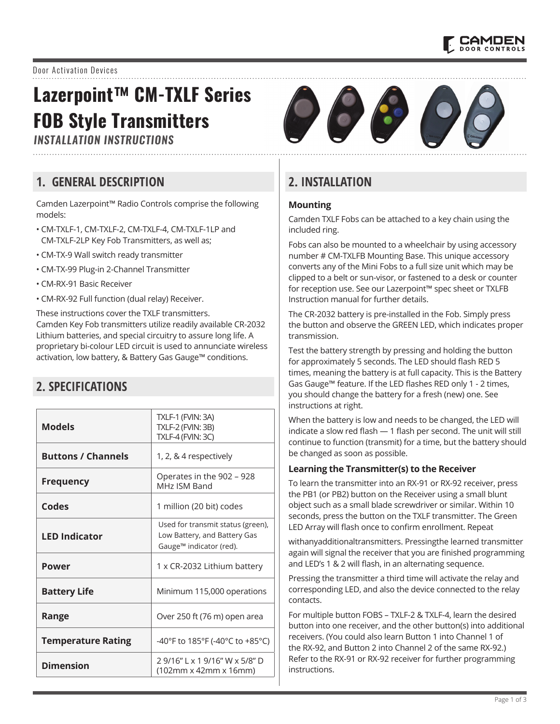

## Door Activation Devices

# **Lazerpoint™ CM-TXLF Series FOB Style Transmitters**

*INSTALLATION INSTRUCTIONS*

## **1. GENERAL DESCRIPTION**

Camden Lazerpoint™ Radio Controls comprise the following models:

- CM-TXLF-1, CM-TXLF-2, CM-TXLF-4, CM-TXLF-1LP and CM-TXLF-2LP Key Fob Transmitters, as well as;
- CM-TX-9 Wall switch ready transmitter
- CM-TX-99 Plug-in 2-Channel Transmitter
- CM-RX-91 Basic Receiver
- CM-RX-92 Full function (dual relay) Receiver.

These instructions cover the TXLF transmitters. Camden Key Fob transmitters utilize readily available CR-2032 Lithium batteries, and special circuitry to assure long life. A proprietary bi-colour LED circuit is used to annunciate wireless activation, low battery, & Battery Gas Gauge™ conditions.

# **2. SPECIFICATIONS**

| <b>Models</b>             | <b>TXLF-1 (FVIN: 3A)</b><br><b>TXLF-2 (FVIN: 3B)</b>                                                     |
|---------------------------|----------------------------------------------------------------------------------------------------------|
|                           | <b>TXLF-4 (FVIN: 3C)</b>                                                                                 |
| <b>Buttons / Channels</b> | 1, 2, & 4 respectively                                                                                   |
| <b>Frequency</b>          | Operates in the 902 - 928<br>MHz ISM Band                                                                |
| Codes                     | 1 million (20 bit) codes                                                                                 |
| <b>LED Indicator</b>      | Used for transmit status (green),<br>Low Battery, and Battery Gas<br>Gauge <sup>™</sup> indicator (red). |
| Power                     | 1 x CR-2032 Lithium battery                                                                              |
| <b>Battery Life</b>       | Minimum 115,000 operations                                                                               |
| Range                     | Over 250 ft (76 m) open area                                                                             |
| <b>Temperature Rating</b> | -40°F to 185°F (-40°C to +85°C)                                                                          |
| <b>Dimension</b>          | 29/16" L x 19/16" W x 5/8" D<br>$(102mm \times 42mm \times 16mm)$                                        |



# **2. INSTALLATION**

### **Mounting**

Camden TXLF Fobs can be attached to a key chain using the included ring.

Fobs can also be mounted to a wheelchair by using accessory number # CM-TXLFB Mounting Base. This unique accessory converts any of the Mini Fobs to a full size unit which may be clipped to a belt or sun-visor, or fastened to a desk or counter for reception use. See our Lazerpoint™ spec sheet or TXLFB Instruction manual for further details.

The CR-2032 battery is pre-installed in the Fob. Simply press the button and observe the GREEN LED, which indicates proper transmission.

Test the battery strength by pressing and holding the button for approximately 5 seconds. The LED should flash RED 5 times, meaning the battery is at full capacity. This is the Battery Gas Gauge™ feature. If the LED flashes RED only 1 - 2 times, you should change the battery for a fresh (new) one. See instructions at right.

When the battery is low and needs to be changed, the LED will indicate a slow red flash — 1 flash per second. The unit will still continue to function (transmit) for a time, but the battery should be changed as soon as possible.

#### **Learning the Transmitter(s) to the Receiver**

To learn the transmitter into an RX-91 or RX-92 receiver, press the PB1 (or PB2) button on the Receiver using a small blunt object such as a small blade screwdriver or similar. Within 10 seconds, press the button on the TXLF transmitter. The Green LED Array will flash once to confirm enrollment. Repeat

withanyadditionaltransmitters. Pressingthe learned transmitter again will signal the receiver that you are finished programming and LED's 1 & 2 will flash, in an alternating sequence.

Pressing the transmitter a third time will activate the relay and corresponding LED, and also the device connected to the relay contacts.

For multiple button FOBS – TXLF-2 & TXLF-4, learn the desired button into one receiver, and the other button(s) into additional receivers. (You could also learn Button 1 into Channel 1 of the RX-92, and Button 2 into Channel 2 of the same RX-92.) Refer to the RX-91 or RX-92 receiver for further programming instructions.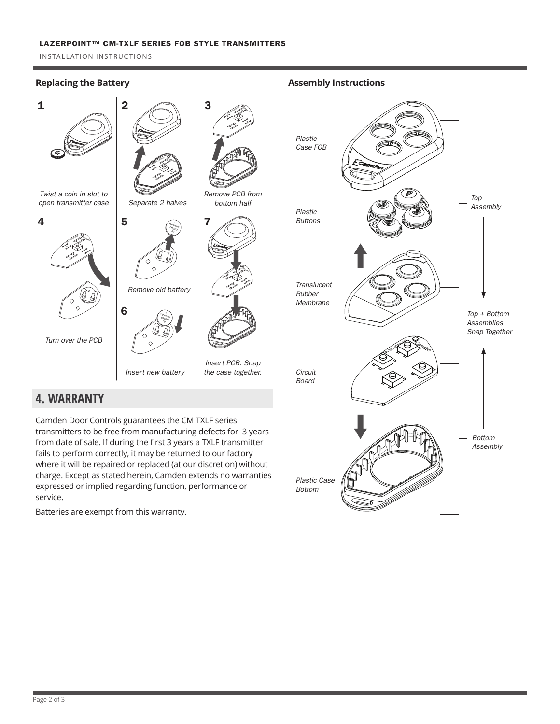#### LAZERPOINT™ CM-TXLF SERIES FOB STYLE TRANSMITTERS

INSTALLATION INSTRUCTIONS

## **Replacing the Battery**



## **4. WARRANTY**

Camden Door Controls guarantees the CM TXLF series transmitters to be free from manufacturing defects for 3 years from date of sale. If during the first 3 years a TXLF transmitter fails to perform correctly, it may be returned to our factory where it will be repaired or replaced (at our discretion) without charge. Except as stated herein, Camden extends no warranties expressed or implied regarding function, performance or service.

Batteries are exempt from this warranty.

**Assembly Instructions**